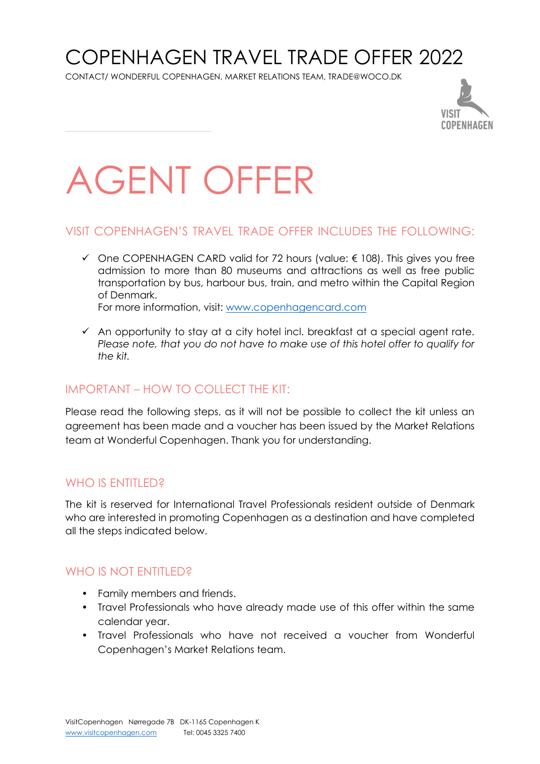## COPENHAGEN TRAVEL TRADE OFFER 2022

CONTACT/ WONDERFUL COPENHAGEN, MARKET RELATIONS TEAM, TRADE@WOCO.DK



# AGENT OFFER

#### VISIT COPENHAGEN'S TRAVEL TRADE OFFER INCLUDES THE FOLLOWING:

 $\checkmark$  One COPENHAGEN CARD valid for 72 hours (value:  $\epsilon$  108). This gives you free admission to more than 80 museums and attractions as well as free public transportation by bus, harbour bus, train, and metro within the Capital Region of Denmark.

For more information, visit: [www.copenhagencard.com](http://www.copenhagencard.com/)

 $\checkmark$  An opportunity to stay at a city hotel incl. breakfast at a special agent rate. *Please note, that you do not have to make use of this hotel offer to qualify for the kit.*

### IMPORTANT – HOW TO COLLECT THE KIT:

Please read the following steps, as it will not be possible to collect the kit unless an agreement has been made and a voucher has been issued by the Market Relations team at Wonderful Copenhagen. Thank you for understanding.

### WHO IS ENTITLED?

The kit is reserved for International Travel Professionals resident outside of Denmark who are interested in promoting Copenhagen as a destination and have completed all the steps indicated below.

#### WHO IS NOT ENTITLED?

- Family members and friends.
- Travel Professionals who have already made use of this offer within the same calendar year.
- Travel Professionals who have not received a voucher from Wonderful Copenhagen's Market Relations team.